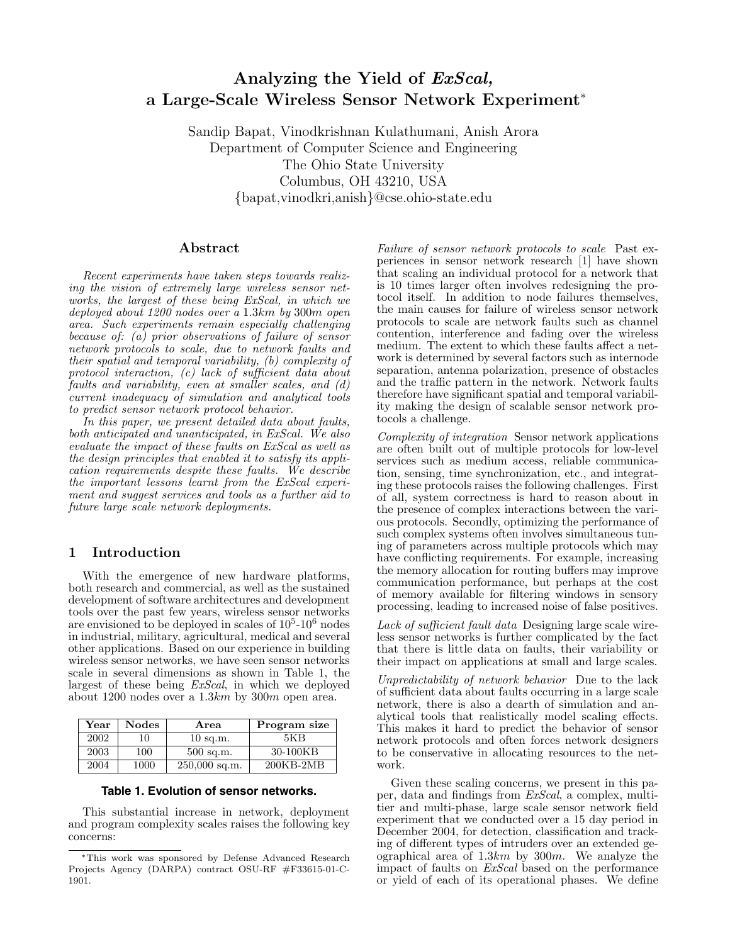# **Analyzing the Yield of** *ExScal,* **a Large-Scale Wireless Sensor Network Experiment**<sup>∗</sup>

Sandip Bapat, Vinodkrishnan Kulathumani, Anish Arora Department of Computer Science and Engineering The Ohio State University Columbus, OH 43210, USA {bapat,vinodkri,anish}@cse.ohio-state.edu

# **Abstract**

*Recent experiments have taken steps towards realizing the vision of extremely large wireless sensor networks, the largest of these being ExScal, in which we deployed about 1200 nodes over a* 1*.*3*km by* 300*m open area. Such experiments remain especially challenging because of: (a) prior observations of failure of sensor network protocols to scale, due to network faults and their spatial and temporal variability, (b) complexity of protocol interaction, (c) lack of sufficient data about faults and variability, even at smaller scales, and (d) current inadequacy of simulation and analytical tools to predict sensor network protocol behavior.*

*In this paper, we present detailed data about faults, both anticipated and unanticipated, in ExScal. We also evaluate the impact of these faults on ExScal as well as the design principles that enabled it to satisfy its application requirements despite these faults. We describe the important lessons learnt from the ExScal experiment and suggest services and tools as a further aid to future large scale network deployments.*

# **1 Introduction**

With the emergence of new hardware platforms, both research and commercial, as well as the sustained development of software architectures and development tools over the past few years, wireless sensor networks are envisioned to be deployed in scales of  $10<sup>5</sup>-10<sup>6</sup>$  nodes in industrial, military, agricultural, medical and several other applications. Based on our experience in building wireless sensor networks, we have seen sensor networks scale in several dimensions as shown in Table 1, the largest of these being *ExScal*, in which we deployed about 1200 nodes over a 1*.*3*km* by 300*m* open area.

| $\operatorname{Year}$ | <b>Nodes</b> | Area               | Program size |
|-----------------------|--------------|--------------------|--------------|
| 2002                  | 10           | $10 \text{ sq.m.}$ | 5KB          |
| 2003                  | 100          | $500$ sq.m.        | 30-100KB     |
| 2004                  | 1000         | $250,000$ sq.m.    | $200KB-2MB$  |

**Table 1. Evolution of sensor networks.**

This substantial increase in network, deployment and program complexity scales raises the following key concerns:

*Failure of sensor network protocols to scale* Past experiences in sensor network research [1] have shown that scaling an individual protocol for a network that is 10 times larger often involves redesigning the protocol itself. In addition to node failures themselves, the main causes for failure of wireless sensor network protocols to scale are network faults such as channel contention, interference and fading over the wireless medium. The extent to which these faults affect a network is determined by several factors such as internode separation, antenna polarization, presence of obstacles and the traffic pattern in the network. Network faults therefore have significant spatial and temporal variability making the design of scalable sensor network protocols a challenge.

*Complexity of integration* Sensor network applications are often built out of multiple protocols for low-level services such as medium access, reliable communication, sensing, time synchronization, etc., and integrating these protocols raises the following challenges. First of all, system correctness is hard to reason about in the presence of complex interactions between the various protocols. Secondly, optimizing the performance of such complex systems often involves simultaneous tuning of parameters across multiple protocols which may have conflicting requirements. For example, increasing the memory allocation for routing buffers may improve communication performance, but perhaps at the cost of memory available for filtering windows in sensory processing, leading to increased noise of false positives.

*Lack of sufficient fault data* Designing large scale wireless sensor networks is further complicated by the fact that there is little data on faults, their variability or their impact on applications at small and large scales.

*Unpredictability of network behavior* Due to the lack of sufficient data about faults occurring in a large scale network, there is also a dearth of simulation and analytical tools that realistically model scaling effects. This makes it hard to predict the behavior of sensor network protocols and often forces network designers to be conservative in allocating resources to the network.

Given these scaling concerns, we present in this paper, data and findings from *ExScal*, a complex, multitier and multi-phase, large scale sensor network field experiment that we conducted over a 15 day period in December 2004, for detection, classification and tracking of different types of intruders over an extended geographical area of 1*.*3*km* by 300*m*. We analyze the impact of faults on *ExScal* based on the performance or yield of each of its operational phases. We define

<sup>∗</sup>This work was sponsored by Defense Advanced Research Projects Agency (DARPA) contract OSU-RF #F33615-01-C-1901.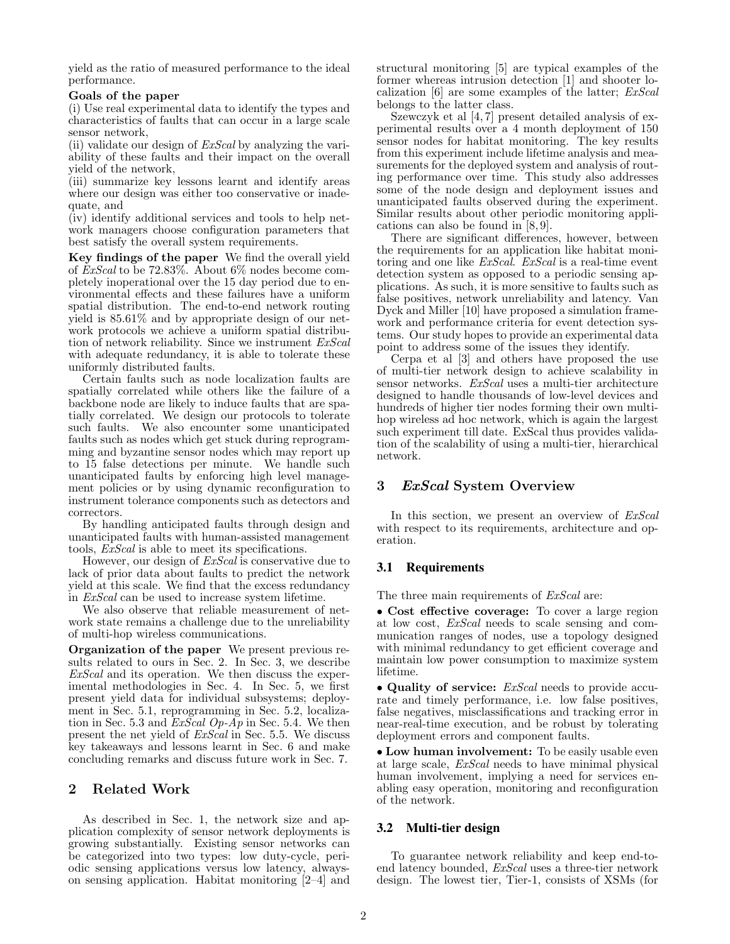yield as the ratio of measured performance to the ideal performance.

#### **Goals of the paper**

(i) Use real experimental data to identify the types and characteristics of faults that can occur in a large scale sensor network,

(ii) validate our design of *ExScal* by analyzing the variability of these faults and their impact on the overall yield of the network,

(iii) summarize key lessons learnt and identify areas where our design was either too conservative or inadequate, and

(iv) identify additional services and tools to help network managers choose configuration parameters that best satisfy the overall system requirements.

**Key findings of the paper** We find the overall yield of *ExScal* to be 72*.*83%. About 6% nodes become completely inoperational over the 15 day period due to environmental effects and these failures have a uniform spatial distribution. The end-to-end network routing yield is 85*.*61% and by appropriate design of our network protocols we achieve a uniform spatial distribution of network reliability. Since we instrument *ExScal* with adequate redundancy, it is able to tolerate these uniformly distributed faults.

Certain faults such as node localization faults are spatially correlated while others like the failure of a backbone node are likely to induce faults that are spatially correlated. We design our protocols to tolerate such faults. We also encounter some unanticipated faults such as nodes which get stuck during reprogramming and byzantine sensor nodes which may report up to 15 false detections per minute. We handle such unanticipated faults by enforcing high level management policies or by using dynamic reconfiguration to instrument tolerance components such as detectors and correctors.

By handling anticipated faults through design and unanticipated faults with human-assisted management tools, *ExScal* is able to meet its specifications.

However, our design of *ExScal* is conservative due to lack of prior data about faults to predict the network yield at this scale. We find that the excess redundancy in *ExScal* can be used to increase system lifetime.

We also observe that reliable measurement of network state remains a challenge due to the unreliability of multi-hop wireless communications.

**Organization of the paper** We present previous results related to ours in Sec. 2. In Sec. 3, we describe *ExScal* and its operation. We then discuss the experimental methodologies in Sec. 4. In Sec. 5, we first present yield data for individual subsystems; deployment in Sec. 5.1, reprogramming in Sec. 5.2, localization in Sec. 5.3 and *ExScal Op-Ap* in Sec. 5.4. We then present the net yield of *ExScal* in Sec. 5.5. We discuss key takeaways and lessons learnt in Sec. 6 and make concluding remarks and discuss future work in Sec. 7.

# **2 Related Work**

As described in Sec. 1, the network size and application complexity of sensor network deployments is growing substantially. Existing sensor networks can be categorized into two types: low duty-cycle, periodic sensing applications versus low latency, alwayson sensing application. Habitat monitoring [2–4] and structural monitoring [5] are typical examples of the former whereas intrusion detection [1] and shooter localization [6] are some examples of the latter; *ExScal* belongs to the latter class.

Szewczyk et al [4, 7] present detailed analysis of experimental results over a 4 month deployment of 150 sensor nodes for habitat monitoring. The key results from this experiment include lifetime analysis and measurements for the deployed system and analysis of routing performance over time. This study also addresses some of the node design and deployment issues and unanticipated faults observed during the experiment. Similar results about other periodic monitoring applications can also be found in [8, 9].

There are significant differences, however, between the requirements for an application like habitat monitoring and one like *ExScal*. *ExScal* is a real-time event detection system as opposed to a periodic sensing applications. As such, it is more sensitive to faults such as false positives, network unreliability and latency. Van Dyck and Miller [10] have proposed a simulation framework and performance criteria for event detection systems. Our study hopes to provide an experimental data point to address some of the issues they identify.

Cerpa et al [3] and others have proposed the use of multi-tier network design to achieve scalability in sensor networks. *ExScal* uses a multi-tier architecture designed to handle thousands of low-level devices and hundreds of higher tier nodes forming their own multihop wireless ad hoc network, which is again the largest such experiment till date. ExScal thus provides validation of the scalability of using a multi-tier, hierarchical network.

# **3** *ExScal* **System Overview**

In this section, we present an overview of *ExScal* with respect to its requirements, architecture and operation.

# **3.1 Requirements**

The three main requirements of *ExScal* are:

• **Cost effective coverage:** To cover a large region at low cost, *ExScal* needs to scale sensing and communication ranges of nodes, use a topology designed with minimal redundancy to get efficient coverage and maintain low power consumption to maximize system lifetime.

• **Quality of service:** *ExScal* needs to provide accurate and timely performance, i.e. low false positives, false negatives, misclassifications and tracking error in near-real-time execution, and be robust by tolerating deployment errors and component faults.

• **Low human involvement:** To be easily usable even at large scale, *ExScal* needs to have minimal physical human involvement, implying a need for services enabling easy operation, monitoring and reconfiguration of the network.

#### **3.2 Multi-tier design**

To guarantee network reliability and keep end-toend latency bounded, *ExScal* uses a three-tier network design. The lowest tier, Tier-1, consists of XSMs (for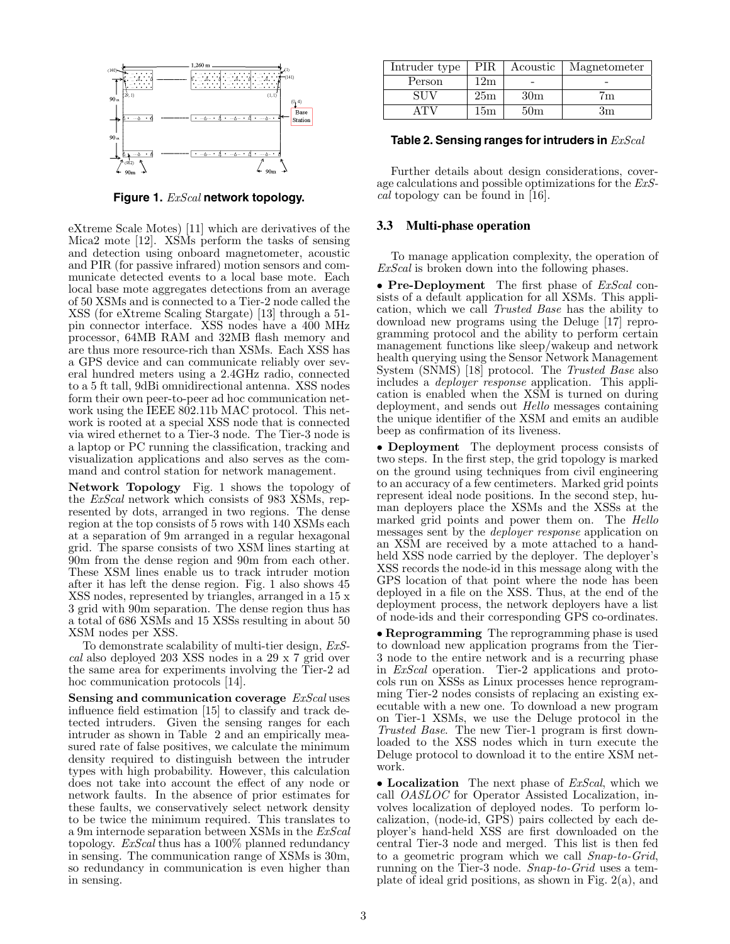

**Figure 1.** *ExScal* **network topology.**

eXtreme Scale Motes) [11] which are derivatives of the Mica2 mote [12]. XSMs perform the tasks of sensing and detection using onboard magnetometer, acoustic and PIR (for passive infrared) motion sensors and communicate detected events to a local base mote. Each local base mote aggregates detections from an average of 50 XSMs and is connected to a Tier-2 node called the XSS (for eXtreme Scaling Stargate) [13] through a 51 pin connector interface. XSS nodes have a 400 MHz processor, 64MB RAM and 32MB flash memory and are thus more resource-rich than XSMs. Each XSS has a GPS device and can communicate reliably over several hundred meters using a 2.4GHz radio, connected to a 5 ft tall, 9dBi omnidirectional antenna. XSS nodes form their own peer-to-peer ad hoc communication network using the IEEE 802.11b MAC protocol. This network is rooted at a special XSS node that is connected via wired ethernet to a Tier-3 node. The Tier-3 node is a laptop or PC running the classification, tracking and visualization applications and also serves as the command and control station for network management.

**Network Topology** Fig. 1 shows the topology of the *ExScal* network which consists of 983 XSMs, represented by dots, arranged in two regions. The dense region at the top consists of 5 rows with 140 XSMs each at a separation of 9m arranged in a regular hexagonal grid. The sparse consists of two XSM lines starting at 90m from the dense region and 90m from each other. These XSM lines enable us to track intruder motion after it has left the dense region. Fig. 1 also shows 45 XSS nodes, represented by triangles, arranged in a 15 x 3 grid with 90m separation. The dense region thus has a total of 686 XSMs and 15 XSSs resulting in about 50 XSM nodes per XSS.

To demonstrate scalability of multi-tier design, *ExScal* also deployed 203 XSS nodes in a 29 x 7 grid over the same area for experiments involving the Tier-2 ad hoc communication protocols [14].

**Sensing and communication coverage** *ExScal* uses influence field estimation [15] to classify and track detected intruders. Given the sensing ranges for each intruder as shown in Table 2 and an empirically measured rate of false positives, we calculate the minimum density required to distinguish between the intruder types with high probability. However, this calculation does not take into account the effect of any node or network faults. In the absence of prior estimates for these faults, we conservatively select network density to be twice the minimum required. This translates to a 9m internode separation between XSMs in the *ExScal* topology. *ExScal* thus has a 100% planned redundancy in sensing. The communication range of XSMs is 30m, so redundancy in communication is even higher than in sensing.

| Intruder type | PIR.           | Acoustic        | Magnetometer |
|---------------|----------------|-----------------|--------------|
| Person        | 12m            |                 |              |
|               | 25m            | 30 <sub>m</sub> | 7m           |
| A' I ' N      | $15\mathrm{m}$ | 50m             | 3m           |

**Table 2. Sensing ranges for intruders in** *ExScal*

Further details about design considerations, coverage calculations and possible optimizations for the *ExScal* topology can be found in [16].

# **3.3 Multi-phase operation**

To manage application complexity, the operation of *ExScal* is broken down into the following phases.

• **Pre-Deployment** The first phase of *ExScal* consists of a default application for all XSMs. This application, which we call *Trusted Base* has the ability to download new programs using the Deluge [17] reprogramming protocol and the ability to perform certain management functions like sleep/wakeup and network health querying using the Sensor Network Management System (SNMS) [18] protocol. The *Trusted Base* also includes a *deployer response* application. This application is enabled when the XSM is turned on during deployment, and sends out *Hello* messages containing the unique identifier of the XSM and emits an audible beep as confirmation of its liveness.

• **Deployment** The deployment process consists of two steps. In the first step, the grid topology is marked on the ground using techniques from civil engineering to an accuracy of a few centimeters. Marked grid points represent ideal node positions. In the second step, human deployers place the XSMs and the XSSs at the marked grid points and power them on. The *Hello* messages sent by the *deployer response* application on an XSM are received by a mote attached to a handheld XSS node carried by the deployer. The deployer's XSS records the node-id in this message along with the GPS location of that point where the node has been deployed in a file on the XSS. Thus, at the end of the deployment process, the network deployers have a list of node-ids and their corresponding GPS co-ordinates.

• **Reprogramming** The reprogramming phase is used to download new application programs from the Tier-3 node to the entire network and is a recurring phase in *ExScal* operation. Tier-2 applications and protocols run on XSSs as Linux processes hence reprogramming Tier-2 nodes consists of replacing an existing executable with a new one. To download a new program on Tier-1 XSMs, we use the Deluge protocol in the *Trusted Base*. The new Tier-1 program is first downloaded to the XSS nodes which in turn execute the Deluge protocol to download it to the entire XSM network.

• **Localization** The next phase of *ExScal*, which we call *OASLOC* for Operator Assisted Localization, involves localization of deployed nodes. To perform localization, (node-id, GPS) pairs collected by each deployer's hand-held XSS are first downloaded on the central Tier-3 node and merged. This list is then fed to a geometric program which we call *Snap-to-Grid*, running on the Tier-3 node. *Snap-to-Grid* uses a template of ideal grid positions, as shown in Fig. 2(a), and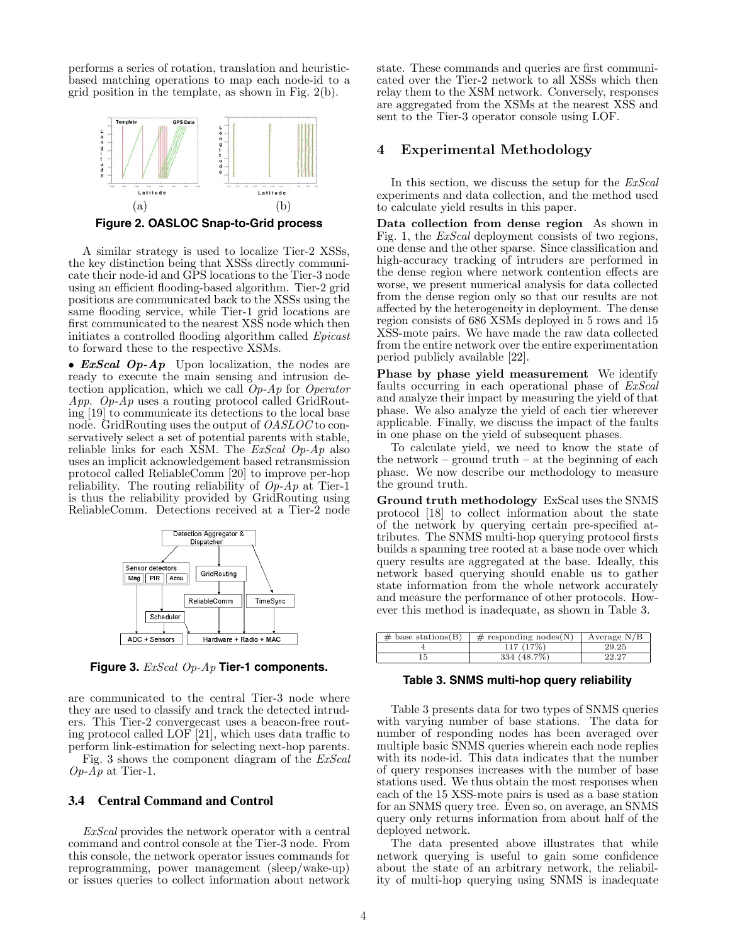performs a series of rotation, translation and heuristicbased matching operations to map each node-id to a grid position in the template, as shown in Fig. 2(b).



**Figure 2. OASLOC Snap-to-Grid process**

A similar strategy is used to localize Tier-2 XSSs, the key distinction being that XSSs directly communicate their node-id and GPS locations to the Tier-3 node using an efficient flooding-based algorithm. Tier-2 grid positions are communicated back to the XSSs using the same flooding service, while Tier-1 grid locations are first communicated to the nearest XSS node which then initiates a controlled flooding algorithm called *Epicast* to forward these to the respective XSMs.

• *ExScal Op-Ap* Upon localization, the nodes are ready to execute the main sensing and intrusion detection application, which we call *Op-Ap* for *Operator App*. *Op-Ap* uses a routing protocol called GridRouting [19] to communicate its detections to the local base node. GridRouting uses the output of *OASLOC* to conservatively select a set of potential parents with stable, reliable links for each XSM. The *ExScal Op-Ap* also uses an implicit acknowledgement based retransmission protocol called ReliableComm [20] to improve per-hop reliability. The routing reliability of *Op-Ap* at Tier-1 is thus the reliability provided by GridRouting using ReliableComm. Detections received at a Tier-2 node



**Figure 3.** *ExScal Op-Ap* **Tier-1 components.**

are communicated to the central Tier-3 node where they are used to classify and track the detected intruders. This Tier-2 convergecast uses a beacon-free routing protocol called LOF [21], which uses data traffic to perform link-estimation for selecting next-hop parents.

Fig. 3 shows the component diagram of the *ExScal Op-Ap* at Tier-1.

### **3.4 Central Command and Control**

*ExScal* provides the network operator with a central command and control console at the Tier-3 node. From this console, the network operator issues commands for reprogramming, power management (sleep/wake-up) or issues queries to collect information about network state. These commands and queries are first communicated over the Tier-2 network to all XSSs which then relay them to the XSM network. Conversely, responses are aggregated from the XSMs at the nearest XSS and sent to the Tier-3 operator console using LOF.

### **4 Experimental Methodology**

In this section, we discuss the setup for the *ExScal* experiments and data collection, and the method used to calculate yield results in this paper.

**Data collection from dense region** As shown in Fig. 1, the *ExScal* deployment consists of two regions, one dense and the other sparse. Since classification and high-accuracy tracking of intruders are performed in the dense region where network contention effects are worse, we present numerical analysis for data collected from the dense region only so that our results are not affected by the heterogeneity in deployment. The dense region consists of 686 XSMs deployed in 5 rows and 15 XSS-mote pairs. We have made the raw data collected from the entire network over the entire experimentation period publicly available [22].

**Phase by phase yield measurement** We identify faults occurring in each operational phase of *ExScal* and analyze their impact by measuring the yield of that phase. We also analyze the yield of each tier wherever applicable. Finally, we discuss the impact of the faults in one phase on the yield of subsequent phases.

To calculate yield, we need to know the state of the network – ground truth – at the beginning of each phase. We now describe our methodology to measure the ground truth.

**Ground truth methodology** ExScal uses the SNMS protocol [18] to collect information about the state of the network by querying certain pre-specified attributes. The SNMS multi-hop querying protocol firsts builds a spanning tree rooted at a base node over which query results are aggregated at the base. Ideally, this network based querying should enable us to gather state information from the whole network accurately and measure the performance of other protocols. However this method is inadequate, as shown in Table 3.

| #<br>base stations(B) | $\#$ responding nodes(N) | Average N |
|-----------------------|--------------------------|-----------|
|                       | 7%                       | 29.25     |
| ⊥∪                    | 334 (48.7%)              | 22.27     |

## **Table 3. SNMS multi-hop query reliability**

Table 3 presents data for two types of SNMS queries with varying number of base stations. The data for number of responding nodes has been averaged over multiple basic SNMS queries wherein each node replies with its node-id. This data indicates that the number of query responses increases with the number of base stations used. We thus obtain the most responses when each of the 15 XSS-mote pairs is used as a base station for an SNMS query tree. Even so, on average, an SNMS query only returns information from about half of the deployed network.

The data presented above illustrates that while network querying is useful to gain some confidence about the state of an arbitrary network, the reliability of multi-hop querying using SNMS is inadequate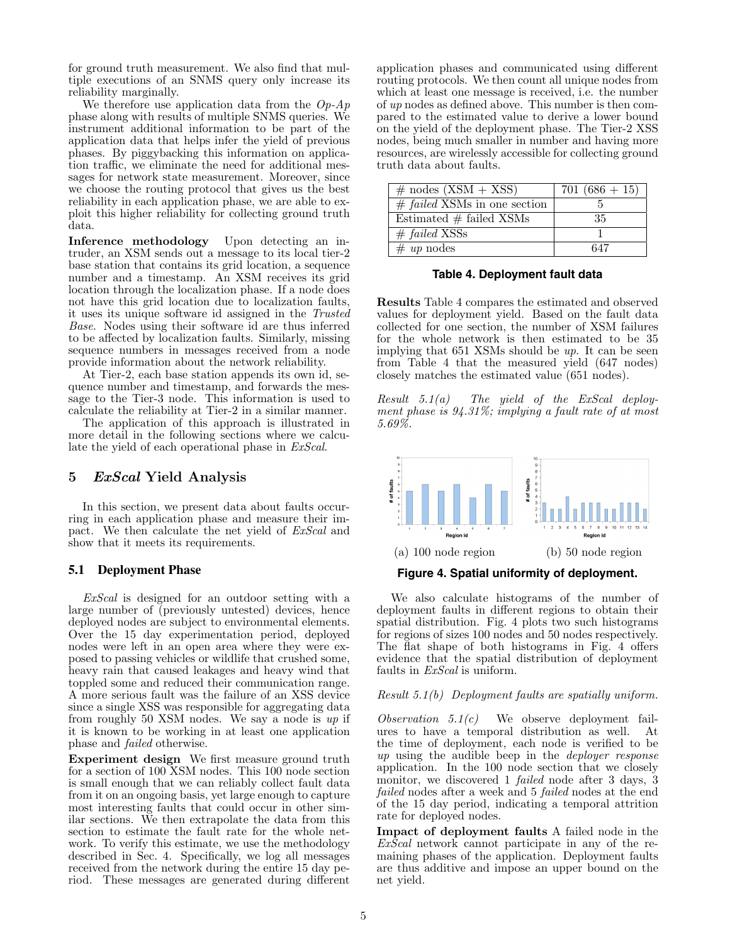for ground truth measurement. We also find that multiple executions of an SNMS query only increase its reliability marginally.

We therefore use application data from the *Op-Ap* phase along with results of multiple SNMS queries. We instrument additional information to be part of the application data that helps infer the yield of previous phases. By piggybacking this information on application traffic, we eliminate the need for additional messages for network state measurement. Moreover, since we choose the routing protocol that gives us the best reliability in each application phase, we are able to exploit this higher reliability for collecting ground truth data.

**Inference methodology** Upon detecting an intruder, an XSM sends out a message to its local tier-2 base station that contains its grid location, a sequence number and a timestamp. An XSM receives its grid location through the localization phase. If a node does not have this grid location due to localization faults, it uses its unique software id assigned in the *Trusted Base*. Nodes using their software id are thus inferred to be affected by localization faults. Similarly, missing sequence numbers in messages received from a node provide information about the network reliability.

At Tier-2, each base station appends its own id, sequence number and timestamp, and forwards the message to the Tier-3 node. This information is used to calculate the reliability at Tier-2 in a similar manner.

The application of this approach is illustrated in more detail in the following sections where we calculate the yield of each operational phase in *ExScal*.

# **5** *ExScal* **Yield Analysis**

In this section, we present data about faults occurring in each application phase and measure their impact. We then calculate the net yield of *ExScal* and show that it meets its requirements.

#### **5.1 Deployment Phase**

*ExScal* is designed for an outdoor setting with a large number of (previously untested) devices, hence deployed nodes are subject to environmental elements. Over the 15 day experimentation period, deployed nodes were left in an open area where they were exposed to passing vehicles or wildlife that crushed some, heavy rain that caused leakages and heavy wind that toppled some and reduced their communication range. A more serious fault was the failure of an XSS device since a single XSS was responsible for aggregating data from roughly 50 XSM nodes. We say a node is *up* if it is known to be working in at least one application phase and *failed* otherwise.

**Experiment design** We first measure ground truth for a section of 100 XSM nodes. This 100 node section is small enough that we can reliably collect fault data from it on an ongoing basis, yet large enough to capture most interesting faults that could occur in other similar sections. We then extrapolate the data from this section to estimate the fault rate for the whole network. To verify this estimate, we use the methodology described in Sec. 4. Specifically, we log all messages received from the network during the entire 15 day period. These messages are generated during different application phases and communicated using different routing protocols. We then count all unique nodes from which at least one message is received, i.e. the number of *up* nodes as defined above. This number is then compared to the estimated value to derive a lower bound on the yield of the deployment phase. The Tier-2 XSS nodes, being much smaller in number and having more resources, are wirelessly accessible for collecting ground truth data about faults.

| $\#$ nodes (XSM + XSS)          | $701~(686+15)$ |
|---------------------------------|----------------|
| $\#$ failed XSMs in one section |                |
| Estimated $#$ failed XSMs       | 35             |
| $#$ failed XSSs                 |                |
| # up nodes                      | 647            |

**Table 4. Deployment fault data**

**Results** Table 4 compares the estimated and observed values for deployment yield. Based on the fault data collected for one section, the number of XSM failures for the whole network is then estimated to be 35 implying that 651 XSMs should be *up*. It can be seen from Table 4 that the measured yield (647 nodes) closely matches the estimated value (651 nodes).

*Result 5.1(a) The yield of the ExScal deployment phase is 94.31%; implying a fault rate of at most 5.69%.*



**Figure 4. Spatial uniformity of deployment.**

We also calculate histograms of the number of deployment faults in different regions to obtain their spatial distribution. Fig. 4 plots two such histograms for regions of sizes 100 nodes and 50 nodes respectively. The flat shape of both histograms in Fig. 4 offers evidence that the spatial distribution of deployment faults in *ExScal* is uniform.

### *Result 5.1(b) Deployment faults are spatially uniform.*

*Observation 5.1(c)* We observe deployment failures to have a temporal distribution as well. At the time of deployment, each node is verified to be *up* using the audible beep in the *deployer response* application. In the 100 node section that we closely monitor, we discovered 1 *failed* node after 3 days, 3 *failed* nodes after a week and 5 *failed* nodes at the end of the 15 day period, indicating a temporal attrition rate for deployed nodes.

**Impact of deployment faults** A failed node in the *ExScal* network cannot participate in any of the remaining phases of the application. Deployment faults are thus additive and impose an upper bound on the net yield.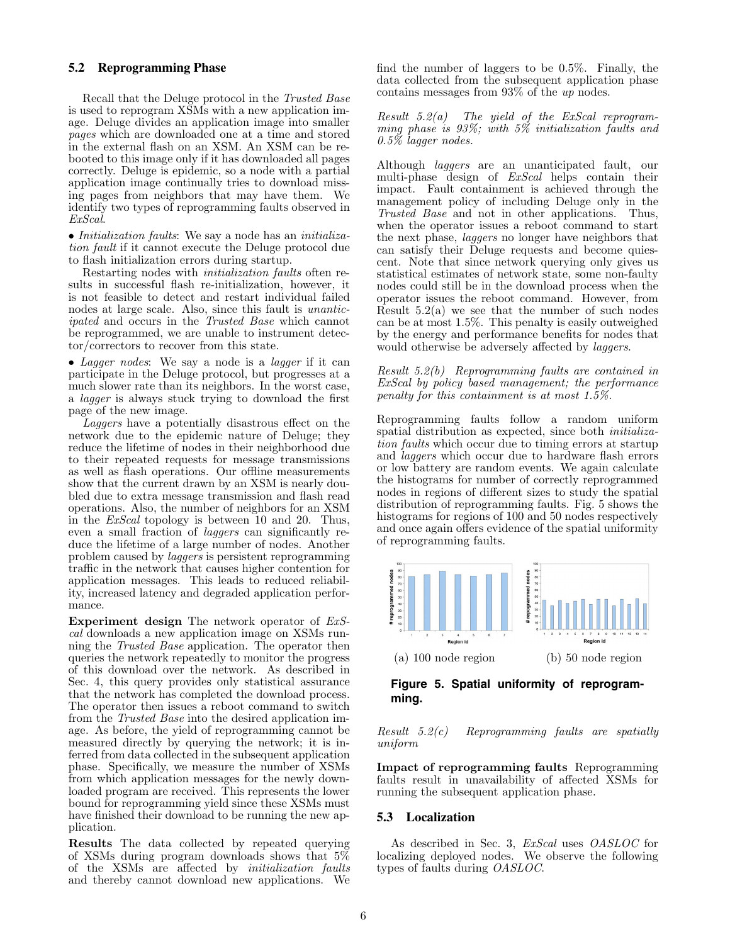#### **5.2 Reprogramming Phase**

Recall that the Deluge protocol in the *Trusted Base* is used to reprogram XSMs with a new application image. Deluge divides an application image into smaller *pages* which are downloaded one at a time and stored in the external flash on an XSM. An XSM can be rebooted to this image only if it has downloaded all pages correctly. Deluge is epidemic, so a node with a partial application image continually tries to download missing pages from neighbors that may have them. We identify two types of reprogramming faults observed in *ExScal*.

• *Initialization faults*: We say a node has an *initialization fault* if it cannot execute the Deluge protocol due to flash initialization errors during startup.

Restarting nodes with *initialization faults* often results in successful flash re-initialization, however, it is not feasible to detect and restart individual failed nodes at large scale. Also, since this fault is *unanticipated* and occurs in the *Trusted Base* which cannot be reprogrammed, we are unable to instrument detector/correctors to recover from this state.

• *Lagger nodes*: We say a node is a *lagger* if it can participate in the Deluge protocol, but progresses at a much slower rate than its neighbors. In the worst case, a *lagger* is always stuck trying to download the first page of the new image.

*Laggers* have a potentially disastrous effect on the network due to the epidemic nature of Deluge; they reduce the lifetime of nodes in their neighborhood due to their repeated requests for message transmissions as well as flash operations. Our offline measurements show that the current drawn by an XSM is nearly doubled due to extra message transmission and flash read operations. Also, the number of neighbors for an XSM in the *ExScal* topology is between 10 and 20. Thus, even a small fraction of *laggers* can significantly reduce the lifetime of a large number of nodes. Another problem caused by *laggers* is persistent reprogramming traffic in the network that causes higher contention for application messages. This leads to reduced reliability, increased latency and degraded application performance.

**Experiment design** The network operator of *ExScal* downloads a new application image on XSMs running the *Trusted Base* application. The operator then queries the network repeatedly to monitor the progress of this download over the network. As described in Sec. 4, this query provides only statistical assurance that the network has completed the download process. The operator then issues a reboot command to switch from the *Trusted Base* into the desired application image. As before, the yield of reprogramming cannot be measured directly by querying the network; it is inferred from data collected in the subsequent application phase. Specifically, we measure the number of XSMs from which application messages for the newly downloaded program are received. This represents the lower bound for reprogramming yield since these XSMs must have finished their download to be running the new application.

**Results** The data collected by repeated querying of XSMs during program downloads shows that 5% of the XSMs are affected by *initialization faults* and thereby cannot download new applications. We find the number of laggers to be 0*.*5%. Finally, the data collected from the subsequent application phase contains messages from 93% of the *up* nodes.

*Result 5.2(a) The yield of the ExScal reprogramming phase is 93%; with 5% initialization faults and 0.5% lagger nodes.*

Although *laggers* are an unanticipated fault, our multi-phase design of *ExScal* helps contain their impact. Fault containment is achieved through the management policy of including Deluge only in the *Trusted Base* and not in other applications. Thus, when the operator issues a reboot command to start the next phase, *laggers* no longer have neighbors that can satisfy their Deluge requests and become quiescent. Note that since network querying only gives us statistical estimates of network state, some non-faulty nodes could still be in the download process when the operator issues the reboot command. However, from Result  $5.2(a)$  we see that the number of such nodes can be at most 1.5%. This penalty is easily outweighed by the energy and performance benefits for nodes that would otherwise be adversely affected by *laggers*.

#### *Result 5.2(b) Reprogramming faults are contained in ExScal by policy based management; the performance penalty for this containment is at most 1.5%.*

Reprogramming faults follow a random uniform spatial distribution as expected, since both *initialization faults* which occur due to timing errors at startup and *laggers* which occur due to hardware flash errors or low battery are random events. We again calculate the histograms for number of correctly reprogrammed nodes in regions of different sizes to study the spatial distribution of reprogramming faults. Fig. 5 shows the histograms for regions of 100 and 50 nodes respectively and once again offers evidence of the spatial uniformity of reprogramming faults.



# **Figure 5. Spatial uniformity of reprogramming.**

*Result 5.2(c) Reprogramming faults are spatially uniform*

**Impact of reprogramming faults** Reprogramming faults result in unavailability of affected XSMs for running the subsequent application phase.

#### **5.3 Localization**

As described in Sec. 3, *ExScal* uses *OASLOC* for localizing deployed nodes. We observe the following types of faults during *OASLOC*.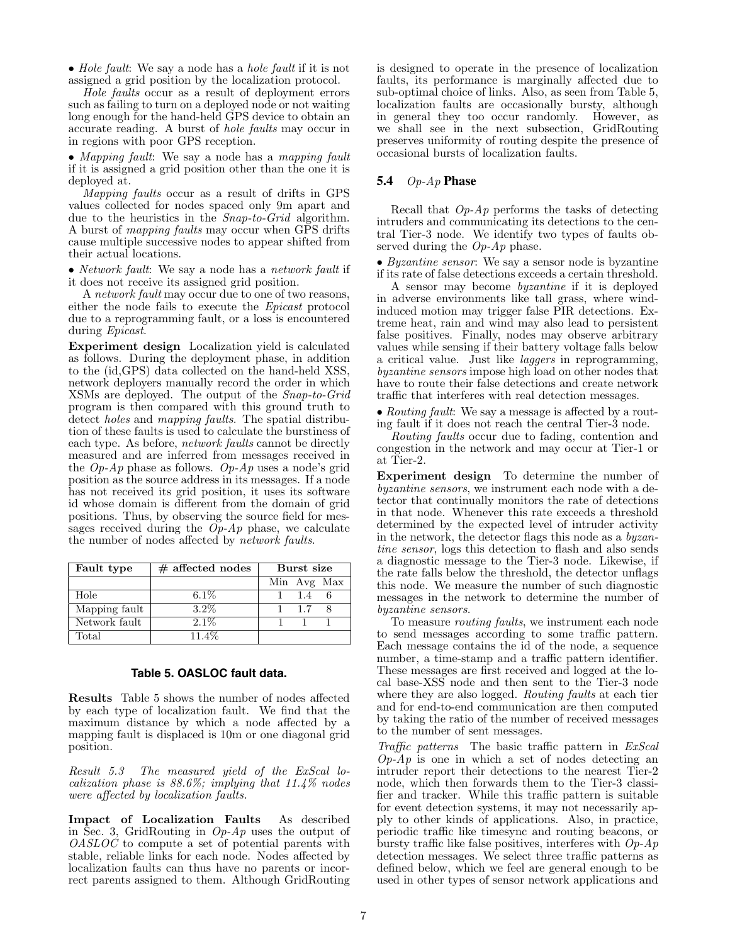• *Hole fault*: We say a node has a *hole fault* if it is not assigned a grid position by the localization protocol.

*Hole faults* occur as a result of deployment errors such as failing to turn on a deployed node or not waiting long enough for the hand-held GPS device to obtain an accurate reading. A burst of *hole faults* may occur in in regions with poor GPS reception.

• *Mapping fault*: We say a node has a *mapping fault* if it is assigned a grid position other than the one it is deployed at.

*Mapping faults* occur as a result of drifts in GPS values collected for nodes spaced only 9m apart and due to the heuristics in the *Snap-to-Grid* algorithm. A burst of *mapping faults* may occur when GPS drifts cause multiple successive nodes to appear shifted from their actual locations.

• *Network fault*: We say a node has a *network fault* if it does not receive its assigned grid position.

A *network fault* may occur due to one of two reasons, either the node fails to execute the *Epicast* protocol due to a reprogramming fault, or a loss is encountered during *Epicast*.

**Experiment design** Localization yield is calculated as follows. During the deployment phase, in addition to the (id,GPS) data collected on the hand-held XSS, network deployers manually record the order in which XSMs are deployed. The output of the *Snap-to-Grid* program is then compared with this ground truth to detect *holes* and *mapping faults*. The spatial distribution of these faults is used to calculate the burstiness of each type. As before, *network faults* cannot be directly measured and are inferred from messages received in the *Op-Ap* phase as follows. *Op-Ap* uses a node's grid position as the source address in its messages. If a node has not received its grid position, it uses its software id whose domain is different from the domain of grid positions. Thus, by observing the source field for messages received during the *Op-Ap* phase, we calculate the number of nodes affected by *network faults*.

| Fault type    | $#$ affected nodes | Burst size |     |             |
|---------------|--------------------|------------|-----|-------------|
|               |                    |            |     | Min Avg Max |
| Hole          | $6.1\%$            |            | 14  |             |
| Mapping fault | $3.2\%$            |            | 1.7 |             |
| Network fault | $2.1\%$            |            |     |             |
| Total         | 11.4%              |            |     |             |

#### **Table 5. OASLOC fault data.**

**Results** Table 5 shows the number of nodes affected by each type of localization fault. We find that the maximum distance by which a node affected by a mapping fault is displaced is 10m or one diagonal grid position.

*Result 5.3 The measured yield of the ExScal localization phase is 88.6%; implying that 11.4% nodes were affected by localization faults.*

**Impact of Localization Faults** As described in Sec. 3, GridRouting in *Op-Ap* uses the output of *OASLOC* to compute a set of potential parents with stable, reliable links for each node. Nodes affected by localization faults can thus have no parents or incorrect parents assigned to them. Although GridRouting is designed to operate in the presence of localization faults, its performance is marginally affected due to sub-optimal choice of links. Also, as seen from Table 5, localization faults are occasionally bursty, although<br>in general they too occur randomly. However, as in general they too occur randomly. we shall see in the next subsection, GridRouting preserves uniformity of routing despite the presence of occasional bursts of localization faults.

### **5.4** *Op-Ap* **Phase**

Recall that *Op-Ap* performs the tasks of detecting intruders and communicating its detections to the central Tier-3 node. We identify two types of faults observed during the *Op-Ap* phase.

• *Byzantine sensor*: We say a sensor node is byzantine if its rate of false detections exceeds a certain threshold.

A sensor may become *byzantine* if it is deployed in adverse environments like tall grass, where windinduced motion may trigger false PIR detections. Extreme heat, rain and wind may also lead to persistent false positives. Finally, nodes may observe arbitrary values while sensing if their battery voltage falls below a critical value. Just like *laggers* in reprogramming, *byzantine sensors* impose high load on other nodes that have to route their false detections and create network traffic that interferes with real detection messages.

• *Routing fault*: We say a message is affected by a routing fault if it does not reach the central Tier-3 node.

*Routing faults* occur due to fading, contention and congestion in the network and may occur at Tier-1 or at Tier-2.

**Experiment design** To determine the number of *byzantine sensors*, we instrument each node with a detector that continually monitors the rate of detections in that node. Whenever this rate exceeds a threshold determined by the expected level of intruder activity in the network, the detector flags this node as a *byzantine sensor*, logs this detection to flash and also sends a diagnostic message to the Tier-3 node. Likewise, if the rate falls below the threshold, the detector unflags this node. We measure the number of such diagnostic messages in the network to determine the number of *byzantine sensors*.

To measure *routing faults*, we instrument each node to send messages according to some traffic pattern. Each message contains the id of the node, a sequence number, a time-stamp and a traffic pattern identifier. These messages are first received and logged at the local base-XSS node and then sent to the Tier-3 node where they are also logged. *Routing faults* at each tier and for end-to-end communication are then computed by taking the ratio of the number of received messages to the number of sent messages.

*Traffic patterns* The basic traffic pattern in *ExScal Op-Ap* is one in which a set of nodes detecting an intruder report their detections to the nearest Tier-2 node, which then forwards them to the Tier-3 classifier and tracker. While this traffic pattern is suitable for event detection systems, it may not necessarily apply to other kinds of applications. Also, in practice, periodic traffic like timesync and routing beacons, or bursty traffic like false positives, interferes with *Op-Ap* detection messages. We select three traffic patterns as defined below, which we feel are general enough to be used in other types of sensor network applications and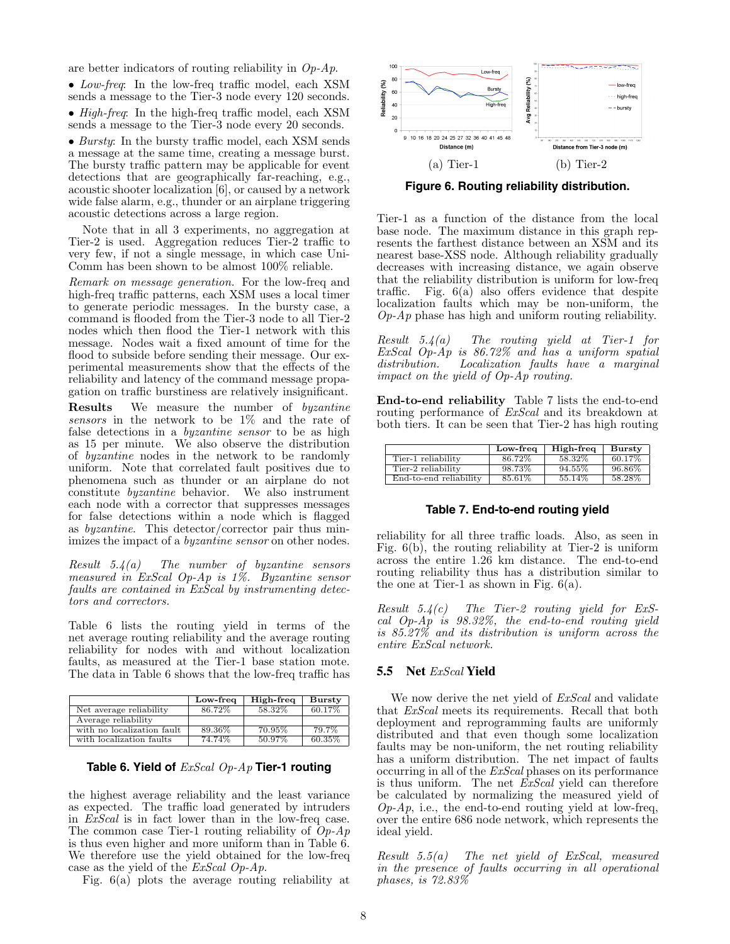are better indicators of routing reliability in *Op-Ap*.

• *Low-freq*: In the low-freq traffic model, each XSM sends a message to the Tier-3 node every 120 seconds.

• *High-freq*: In the high-freq traffic model, each XSM sends a message to the Tier-3 node every 20 seconds.

• *Bursty*: In the bursty traffic model, each XSM sends a message at the same time, creating a message burst. The bursty traffic pattern may be applicable for event detections that are geographically far-reaching, e.g., acoustic shooter localization [6], or caused by a network wide false alarm, e.g., thunder or an airplane triggering acoustic detections across a large region.

Note that in all 3 experiments, no aggregation at Tier-2 is used. Aggregation reduces Tier-2 traffic to very few, if not a single message, in which case Uni-Comm has been shown to be almost 100% reliable.

*Remark on message generation.* For the low-freq and high-freq traffic patterns, each XSM uses a local timer to generate periodic messages. In the bursty case, a command is flooded from the Tier-3 node to all Tier-2 nodes which then flood the Tier-1 network with this message. Nodes wait a fixed amount of time for the flood to subside before sending their message. Our experimental measurements show that the effects of the reliability and latency of the command message propagation on traffic burstiness are relatively insignificant.

**Results** We measure the number of *byzantine sensors* in the network to be 1% and the rate of false detections in a *byzantine sensor* to be as high as 15 per minute. We also observe the distribution of *byzantine* nodes in the network to be randomly uniform. Note that correlated fault positives due to phenomena such as thunder or an airplane do not constitute *byzantine* behavior. We also instrument each node with a corrector that suppresses messages for false detections within a node which is flagged as *byzantine*. This detector/corrector pair thus minimizes the impact of a *byzantine sensor* on other nodes.

*Result 5.4(a) The number of byzantine sensors measured in ExScal Op-Ap is 1%. Byzantine sensor faults are contained in ExScal by instrumenting detectors and correctors.*

Table 6 lists the routing yield in terms of the net average routing reliability and the average routing reliability for nodes with and without localization faults, as measured at the Tier-1 base station mote. The data in Table 6 shows that the low-freq traffic has

|                            | Low-freq | High-freq | <b>Bursty</b> |
|----------------------------|----------|-----------|---------------|
| Net average reliability    | 86.72%   | 58.32\%   | 60.17%        |
| Average reliability        |          |           |               |
| with no localization fault | 89.36%   | 70.95%    | 79.7%         |
| with localization faults   | 74.74%   | 50.97%    | 60.35%        |

### **Table 6. Yield of** *ExScal Op-Ap* **Tier-1 routing**

the highest average reliability and the least variance as expected. The traffic load generated by intruders in *ExScal* is in fact lower than in the low-freq case. The common case Tier-1 routing reliability of *Op-Ap* is thus even higher and more uniform than in Table 6. We therefore use the yield obtained for the low-freq case as the yield of the *ExScal Op-Ap*.

Fig. 6(a) plots the average routing reliability at



**Figure 6. Routing reliability distribution.**

Tier-1 as a function of the distance from the local base node. The maximum distance in this graph represents the farthest distance between an XSM and its nearest base-XSS node. Although reliability gradually decreases with increasing distance, we again observe that the reliability distribution is uniform for low-freq traffic. Fig. 6(a) also offers evidence that despite localization faults which may be non-uniform, the *Op-Ap* phase has high and uniform routing reliability.

*Result 5.4(a) The routing yield at Tier-1 for ExScal Op-Ap is 86.72% and has a uniform spatial distribution. Localization faults have a marginal impact on the yield of Op-Ap routing.*

**End-to-end reliability** Table 7 lists the end-to-end routing performance of *ExScal* and its breakdown at both tiers. It can be seen that Tier-2 has high routing

|                        | Low-frea | High-freq | Bursty  |
|------------------------|----------|-----------|---------|
| Tier-1 reliability     | 86.72%   | 58.32%    | 60.17\% |
| Tier-2 reliability     | 98.73%   | 94.55%    | 96.86%  |
| End-to-end reliability | 85.61%   | 55.14\%   | 58.28%  |

# **Table 7. End-to-end routing yield**

reliability for all three traffic loads. Also, as seen in Fig. 6(b), the routing reliability at Tier-2 is uniform across the entire 1.26 km distance. The end-to-end routing reliability thus has a distribution similar to the one at Tier-1 as shown in Fig.  $6(a)$ .

*Result 5.4(c) The Tier-2 routing yield for ExScal Op-Ap is 98.32%, the end-to-end routing yield is 85.27% and its distribution is uniform across the entire ExScal network.*

### **5.5 Net** *ExScal* **Yield**

We now derive the net yield of *ExScal* and validate that *ExScal* meets its requirements. Recall that both deployment and reprogramming faults are uniformly distributed and that even though some localization faults may be non-uniform, the net routing reliability has a uniform distribution. The net impact of faults occurring in all of the *ExScal* phases on its performance is thus uniform. The net *ExScal* yield can therefore be calculated by normalizing the measured yield of *Op-Ap*, i.e., the end-to-end routing yield at low-freq, over the entire 686 node network, which represents the ideal yield.

*Result 5.5(a) The net yield of ExScal, measured in the presence of faults occurring in all operational phases, is 72.83%*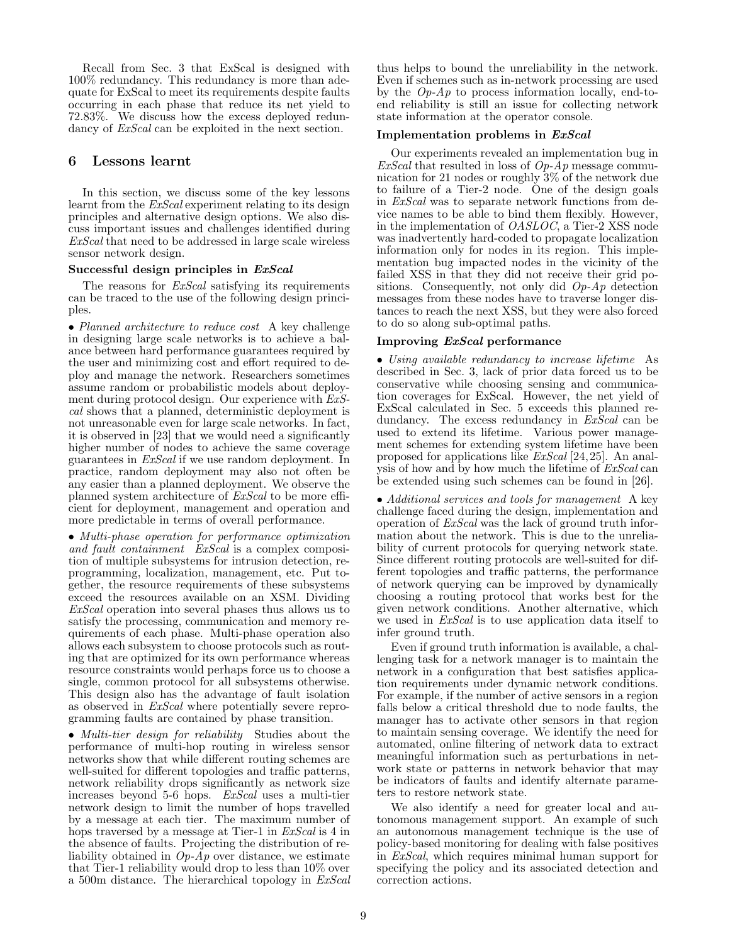Recall from Sec. 3 that ExScal is designed with 100% redundancy. This redundancy is more than adequate for ExScal to meet its requirements despite faults occurring in each phase that reduce its net yield to 72.83%. We discuss how the excess deployed redundancy of *ExScal* can be exploited in the next section.

# **6 Lessons learnt**

In this section, we discuss some of the key lessons learnt from the *ExScal* experiment relating to its design principles and alternative design options. We also discuss important issues and challenges identified during *ExScal* that need to be addressed in large scale wireless sensor network design.

#### **Successful design principles in** *ExScal*

The reasons for *ExScal* satisfying its requirements can be traced to the use of the following design principles.

• *Planned architecture to reduce cost* A key challenge in designing large scale networks is to achieve a balance between hard performance guarantees required by the user and minimizing cost and effort required to deploy and manage the network. Researchers sometimes assume random or probabilistic models about deployment during protocol design. Our experience with *ExScal* shows that a planned, deterministic deployment is not unreasonable even for large scale networks. In fact, it is observed in [23] that we would need a significantly higher number of nodes to achieve the same coverage guarantees in *ExScal* if we use random deployment. In practice, random deployment may also not often be any easier than a planned deployment. We observe the planned system architecture of *ExScal* to be more efficient for deployment, management and operation and more predictable in terms of overall performance.

• *Multi-phase operation for performance optimization and fault containment ExScal* is a complex composition of multiple subsystems for intrusion detection, reprogramming, localization, management, etc. Put together, the resource requirements of these subsystems exceed the resources available on an XSM. Dividing *ExScal* operation into several phases thus allows us to satisfy the processing, communication and memory requirements of each phase. Multi-phase operation also allows each subsystem to choose protocols such as routing that are optimized for its own performance whereas resource constraints would perhaps force us to choose a single, common protocol for all subsystems otherwise. This design also has the advantage of fault isolation as observed in *ExScal* where potentially severe reprogramming faults are contained by phase transition.

• *Multi-tier design for reliability* Studies about the performance of multi-hop routing in wireless sensor networks show that while different routing schemes are well-suited for different topologies and traffic patterns, network reliability drops significantly as network size increases beyond 5-6 hops. *ExScal* uses a multi-tier network design to limit the number of hops travelled by a message at each tier. The maximum number of hops traversed by a message at Tier-1 in *ExScal* is 4 in the absence of faults. Projecting the distribution of reliability obtained in *Op-Ap* over distance, we estimate that Tier-1 reliability would drop to less than 10% over a 500m distance. The hierarchical topology in *ExScal* thus helps to bound the unreliability in the network. Even if schemes such as in-network processing are used by the *Op-Ap* to process information locally, end-toend reliability is still an issue for collecting network state information at the operator console.

### **Implementation problems in** *ExScal*

Our experiments revealed an implementation bug in *ExScal* that resulted in loss of *Op-Ap* message communication for 21 nodes or roughly 3% of the network due to failure of a Tier-2 node. One of the design goals in *ExScal* was to separate network functions from device names to be able to bind them flexibly. However, in the implementation of *OASLOC*, a Tier-2 XSS node was inadvertently hard-coded to propagate localization information only for nodes in its region. This implementation bug impacted nodes in the vicinity of the failed XSS in that they did not receive their grid positions. Consequently, not only did *Op-Ap* detection messages from these nodes have to traverse longer distances to reach the next XSS, but they were also forced to do so along sub-optimal paths.

### **Improving** *ExScal* **performance**

• *Using available redundancy to increase lifetime* As described in Sec. 3, lack of prior data forced us to be conservative while choosing sensing and communication coverages for ExScal. However, the net yield of ExScal calculated in Sec. 5 exceeds this planned redundancy. The excess redundancy in *ExScal* can be used to extend its lifetime. Various power management schemes for extending system lifetime have been proposed for applications like *ExScal* [24, 25]. An analysis of how and by how much the lifetime of *ExScal* can be extended using such schemes can be found in [26].

• *Additional services and tools for management* A key challenge faced during the design, implementation and operation of *ExScal* was the lack of ground truth information about the network. This is due to the unreliability of current protocols for querying network state. Since different routing protocols are well-suited for different topologies and traffic patterns, the performance of network querying can be improved by dynamically choosing a routing protocol that works best for the given network conditions. Another alternative, which we used in *ExScal* is to use application data itself to infer ground truth.

Even if ground truth information is available, a challenging task for a network manager is to maintain the network in a configuration that best satisfies application requirements under dynamic network conditions. For example, if the number of active sensors in a region falls below a critical threshold due to node faults, the manager has to activate other sensors in that region to maintain sensing coverage. We identify the need for automated, online filtering of network data to extract meaningful information such as perturbations in network state or patterns in network behavior that may be indicators of faults and identify alternate parameters to restore network state.

We also identify a need for greater local and autonomous management support. An example of such an autonomous management technique is the use of policy-based monitoring for dealing with false positives in *ExScal*, which requires minimal human support for specifying the policy and its associated detection and correction actions.